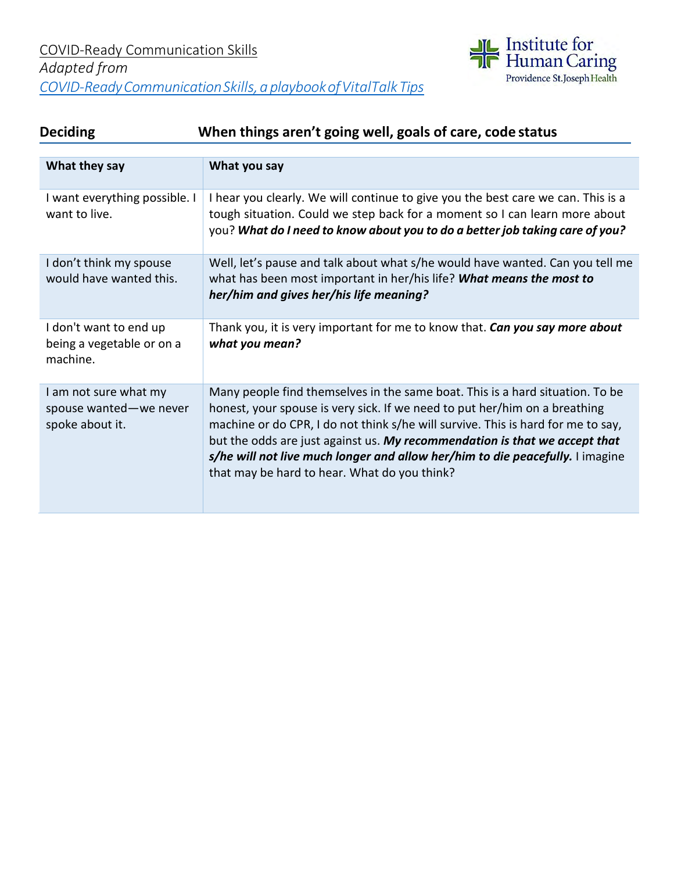

# **Deciding When things aren't going well, goals of care, code status**

| What they say                                                      | What you say                                                                                                                                                                                                                                                                                                                                                                                                                                                   |
|--------------------------------------------------------------------|----------------------------------------------------------------------------------------------------------------------------------------------------------------------------------------------------------------------------------------------------------------------------------------------------------------------------------------------------------------------------------------------------------------------------------------------------------------|
| I want everything possible. I<br>want to live.                     | I hear you clearly. We will continue to give you the best care we can. This is a<br>tough situation. Could we step back for a moment so I can learn more about<br>you? What do I need to know about you to do a better job taking care of you?                                                                                                                                                                                                                 |
| I don't think my spouse<br>would have wanted this.                 | Well, let's pause and talk about what s/he would have wanted. Can you tell me<br>what has been most important in her/his life? What means the most to<br>her/him and gives her/his life meaning?                                                                                                                                                                                                                                                               |
| I don't want to end up<br>being a vegetable or on a<br>machine.    | Thank you, it is very important for me to know that. Can you say more about<br>what you mean?                                                                                                                                                                                                                                                                                                                                                                  |
| I am not sure what my<br>spouse wanted-we never<br>spoke about it. | Many people find themselves in the same boat. This is a hard situation. To be<br>honest, your spouse is very sick. If we need to put her/him on a breathing<br>machine or do CPR, I do not think s/he will survive. This is hard for me to say,<br>but the odds are just against us. My recommendation is that we accept that<br>s/he will not live much longer and allow her/him to die peacefully. I imagine<br>that may be hard to hear. What do you think? |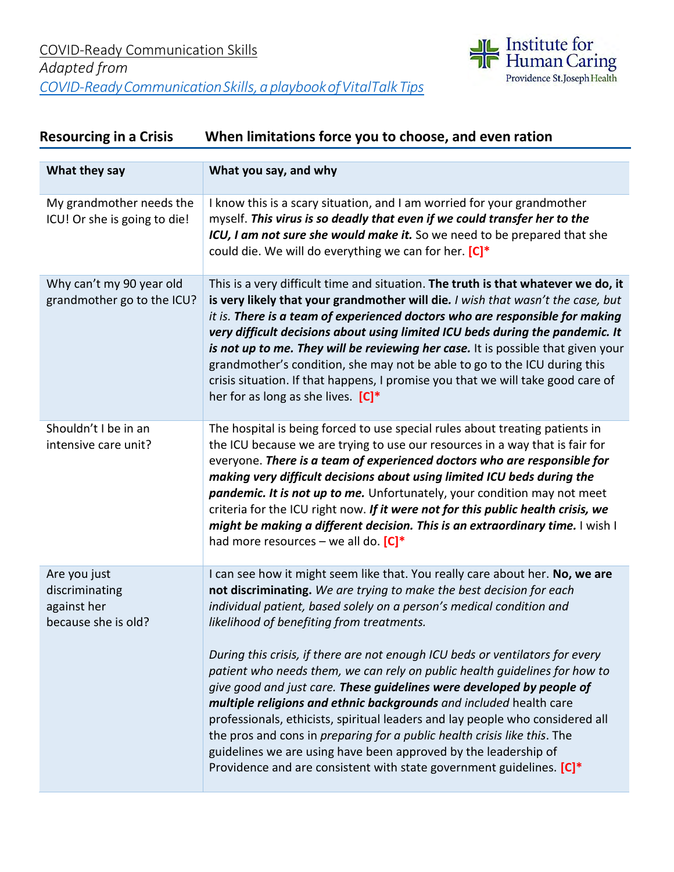

# **Resourcing in a Crisis When limitations force you to choose, and even ration**

| What they say                                                        | What you say, and why                                                                                                                                                                                                                                                                                                                                                                                                                                                                                                                                                                                                                                                                                                                                                                                                                                                                                   |
|----------------------------------------------------------------------|---------------------------------------------------------------------------------------------------------------------------------------------------------------------------------------------------------------------------------------------------------------------------------------------------------------------------------------------------------------------------------------------------------------------------------------------------------------------------------------------------------------------------------------------------------------------------------------------------------------------------------------------------------------------------------------------------------------------------------------------------------------------------------------------------------------------------------------------------------------------------------------------------------|
| My grandmother needs the<br>ICU! Or she is going to die!             | I know this is a scary situation, and I am worried for your grandmother<br>myself. This virus is so deadly that even if we could transfer her to the<br>ICU, I am not sure she would make it. So we need to be prepared that she<br>could die. We will do everything we can for her. [C]*                                                                                                                                                                                                                                                                                                                                                                                                                                                                                                                                                                                                               |
| Why can't my 90 year old<br>grandmother go to the ICU?               | This is a very difficult time and situation. The truth is that whatever we do, it<br>is very likely that your grandmother will die. I wish that wasn't the case, but<br>it is. There is a team of experienced doctors who are responsible for making<br>very difficult decisions about using limited ICU beds during the pandemic. It<br>is not up to me. They will be reviewing her case. It is possible that given your<br>grandmother's condition, she may not be able to go to the ICU during this<br>crisis situation. If that happens, I promise you that we will take good care of<br>her for as long as she lives. $[C]^*$                                                                                                                                                                                                                                                                      |
| Shouldn't I be in an<br>intensive care unit?                         | The hospital is being forced to use special rules about treating patients in<br>the ICU because we are trying to use our resources in a way that is fair for<br>everyone. There is a team of experienced doctors who are responsible for<br>making very difficult decisions about using limited ICU beds during the<br>pandemic. It is not up to me. Unfortunately, your condition may not meet<br>criteria for the ICU right now. If it were not for this public health crisis, we<br>might be making a different decision. This is an extraordinary time. I wish I<br>had more resources – we all do. $[C]^*$                                                                                                                                                                                                                                                                                         |
| Are you just<br>discriminating<br>against her<br>because she is old? | I can see how it might seem like that. You really care about her. No, we are<br>not discriminating. We are trying to make the best decision for each<br>individual patient, based solely on a person's medical condition and<br>likelihood of benefiting from treatments.<br>During this crisis, if there are not enough ICU beds or ventilators for every<br>patient who needs them, we can rely on public health guidelines for how to<br>give good and just care. These guidelines were developed by people of<br>multiple religions and ethnic backgrounds and included health care<br>professionals, ethicists, spiritual leaders and lay people who considered all<br>the pros and cons in <i>preparing for a public health crisis like this</i> . The<br>guidelines we are using have been approved by the leadership of<br>Providence and are consistent with state government guidelines. [C]* |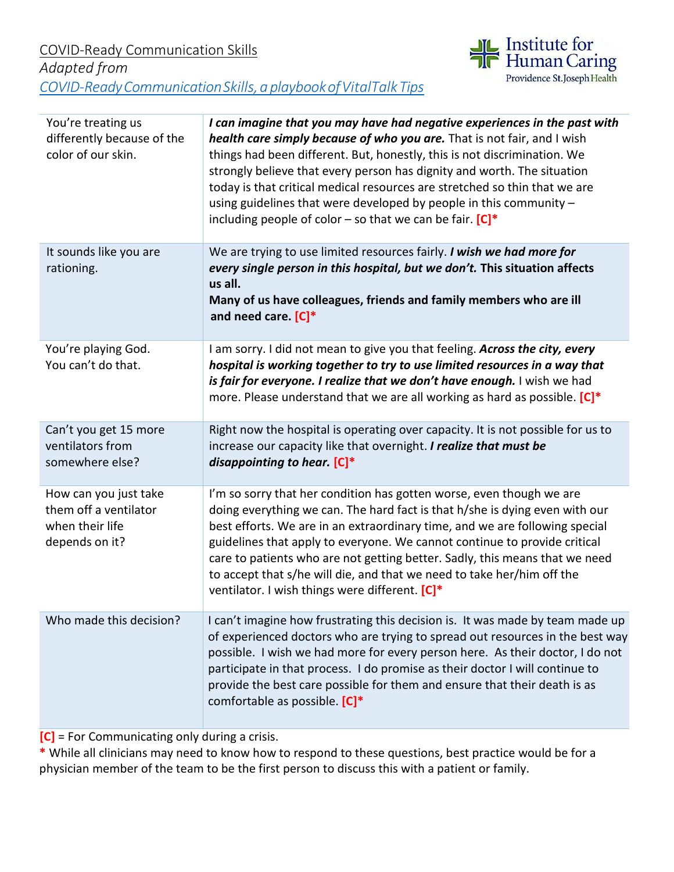

| You're treating us<br>differently because of the<br>color of our skin.              | I can imagine that you may have had negative experiences in the past with<br>health care simply because of who you are. That is not fair, and I wish<br>things had been different. But, honestly, this is not discrimination. We<br>strongly believe that every person has dignity and worth. The situation<br>today is that critical medical resources are stretched so thin that we are<br>using guidelines that were developed by people in this community -<br>including people of color - so that we can be fair. $[C]^*$ |
|-------------------------------------------------------------------------------------|--------------------------------------------------------------------------------------------------------------------------------------------------------------------------------------------------------------------------------------------------------------------------------------------------------------------------------------------------------------------------------------------------------------------------------------------------------------------------------------------------------------------------------|
| It sounds like you are<br>rationing.                                                | We are trying to use limited resources fairly. I wish we had more for<br>every single person in this hospital, but we don't. This situation affects<br>us all.<br>Many of us have colleagues, friends and family members who are ill<br>and need care. $[C]^*$                                                                                                                                                                                                                                                                 |
| You're playing God.<br>You can't do that.                                           | I am sorry. I did not mean to give you that feeling. Across the city, every<br>hospital is working together to try to use limited resources in a way that<br>is fair for everyone. I realize that we don't have enough. I wish we had<br>more. Please understand that we are all working as hard as possible. [C]*                                                                                                                                                                                                             |
| Can't you get 15 more<br>ventilators from<br>somewhere else?                        | Right now the hospital is operating over capacity. It is not possible for us to<br>increase our capacity like that overnight. I realize that must be<br>disappointing to hear. $[C]^*$                                                                                                                                                                                                                                                                                                                                         |
| How can you just take<br>them off a ventilator<br>when their life<br>depends on it? | I'm so sorry that her condition has gotten worse, even though we are<br>doing everything we can. The hard fact is that h/she is dying even with our<br>best efforts. We are in an extraordinary time, and we are following special<br>guidelines that apply to everyone. We cannot continue to provide critical<br>care to patients who are not getting better. Sadly, this means that we need<br>to accept that s/he will die, and that we need to take her/him off the<br>ventilator. I wish things were different. [C]*     |
| Who made this decision?                                                             | I can't imagine how frustrating this decision is. It was made by team made up<br>of experienced doctors who are trying to spread out resources in the best way<br>possible. I wish we had more for every person here. As their doctor, I do not<br>participate in that process. I do promise as their doctor I will continue to<br>provide the best care possible for them and ensure that their death is as<br>comfortable as possible. [C]*                                                                                  |

**[C]** = For Communicating only during a crisis.

**\*** While all clinicians may need to know how to respond to these questions, best practice would be for a physician member of the team to be the first person to discuss this with a patient or family.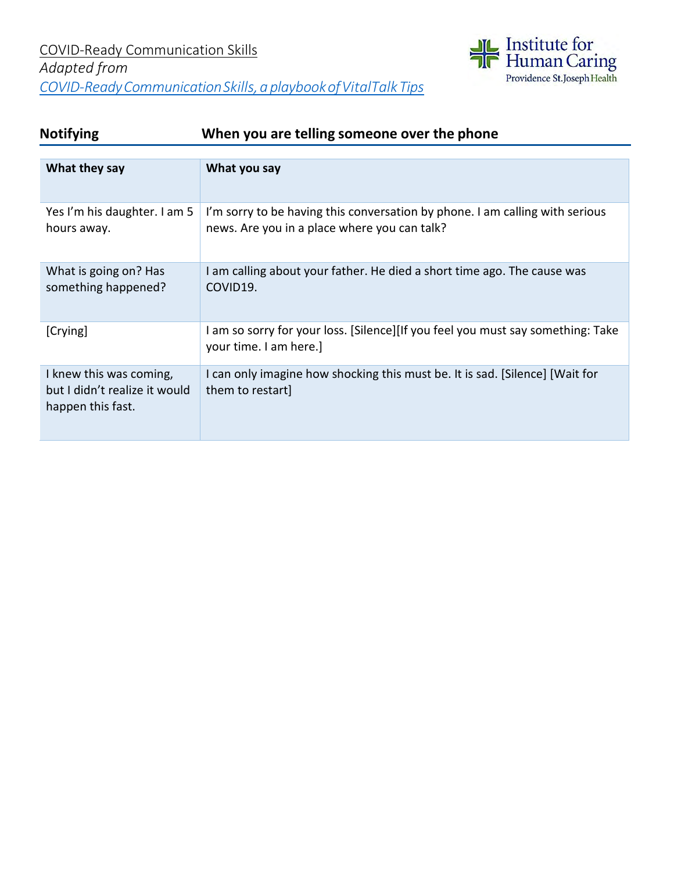

## **Notifying When you are telling someone over the phone**

| What they say                                                                 | What you say                                                                                                                 |
|-------------------------------------------------------------------------------|------------------------------------------------------------------------------------------------------------------------------|
| Yes I'm his daughter. I am 5<br>hours away.                                   | I'm sorry to be having this conversation by phone. I am calling with serious<br>news. Are you in a place where you can talk? |
| What is going on? Has<br>something happened?                                  | I am calling about your father. He died a short time ago. The cause was<br>COVID19.                                          |
| [Crying]                                                                      | I am so sorry for your loss. [Silence][If you feel you must say something: Take<br>your time. I am here.]                    |
| I knew this was coming,<br>but I didn't realize it would<br>happen this fast. | I can only imagine how shocking this must be. It is sad. [Silence] [Wait for<br>them to restart]                             |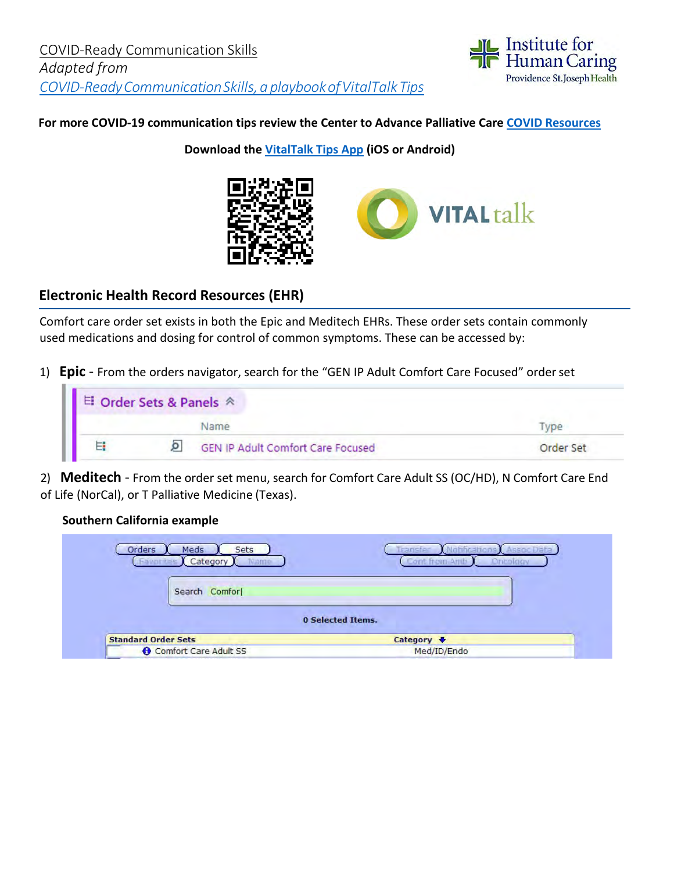

#### **For more COVID-19 communication tips review the Center to Advance Palliative Care [COVID Resources](https://www.capc.org/toolkits/covid-19-response-resources/)**

**Download the [VitalTalk Tips App](https://www.vitaltalk.org/vitaltalk-apps/) (iOS or Android)**



## **Electronic Health Record Resources (EHR)**

Comfort care order set exists in both the Epic and Meditech EHRs. These order sets contain commonly used medications and dosing for control of common symptoms. These can be accessed by:

1) **Epic** - From the orders navigator, search for the "GEN IP Adult Comfort Care Focused" orderset

| <b>El Order Sets &amp; Panels ∧</b> |                                          |           |
|-------------------------------------|------------------------------------------|-----------|
|                                     |                                          |           |
| $\overline{\phantom{a}}$            | <b>GEN IP Adult Comfort Care Focused</b> | Order Set |

2) **Meditech** - From the order set menu, search for Comfort Care Adult SS (OC/HD), N Comfort Care End of Life (NorCal), or T Palliative Medicine (Texas).

#### **Southern California example**

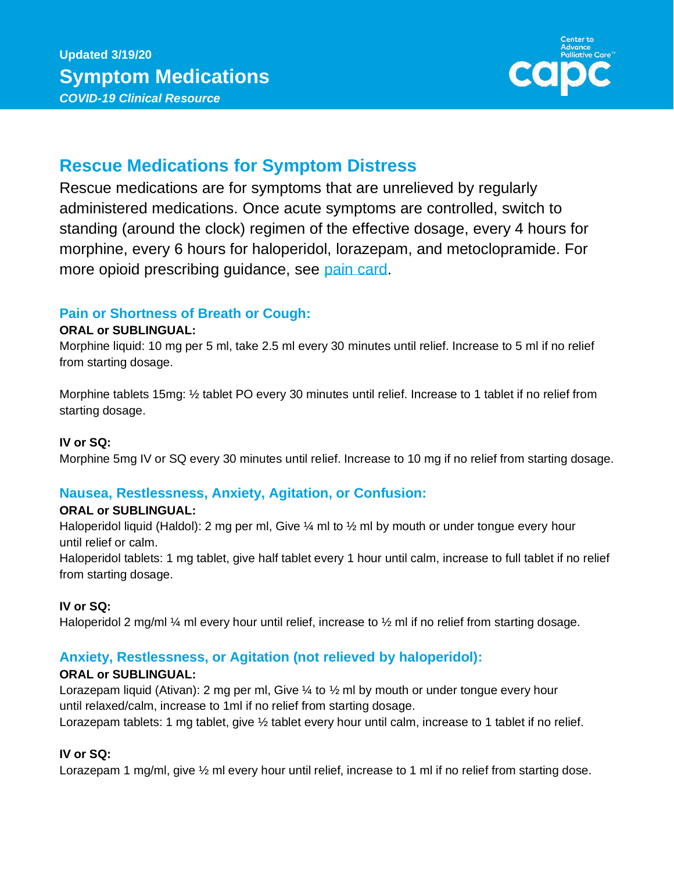

# **Rescue Medications for Symptom Distress**

Rescue medications are for symptoms that are unrelieved by regularly administered medications. Once acute symptoms are controlled, switch to standing (around the clock) regimen of the effective dosage, every 4 hours for morphine, every 6 hours for haloperidol, lorazepam, and metoclopramide. For more opioid prescribing guidance, see [pain card.](https://www.capc.org/documents/324/)

## **Pain or Shortness of Breath or Cough:**

#### **ORAL or SUBLINGUAL:**

Morphine liquid: 10 mg per 5 ml, take 2.5 ml every 30 minutes until relief. Increase to 5 ml if no relief from starting dosage.

Morphine tablets 15mg: ½ tablet PO every 30 minutes until relief. Increase to 1 tablet if no relief from starting dosage.

#### **IV or SQ:**

Morphine 5mg IV or SQ every 30 minutes until relief. Increase to 10 mg if no relief from starting dosage.

### **Nausea, Restlessness, Anxiety, Agitation, or Confusion:**

#### **ORAL or SUBLINGUAL:**

Haloperidol liquid (Haldol): 2 mg per ml, Give 1/4 ml to 1/2 ml by mouth or under tongue every hour until relief or calm.

Haloperidol tablets: 1 mg tablet, give half tablet every 1 hour until calm, increase to full tablet if no relief from starting dosage.

### **IV or SQ:**

Haloperidol 2 mg/ml  $\frac{1}{4}$  ml every hour until relief, increase to  $\frac{1}{2}$  ml if no relief from starting dosage.

## **Anxiety, Restlessness, or Agitation (not relieved by haloperidol):**

### **ORAL or SUBLINGUAL:**

Lorazepam liquid (Ativan): 2 mg per ml, Give ¼ to ½ ml by mouth or under tongue every hour until relaxed/calm, increase to 1ml if no relief from starting dosage.

Lorazepam tablets: 1 mg tablet, give  $\frac{1}{2}$  tablet every hour until calm, increase to 1 tablet if no relief.

#### **IV or SQ:**

Lorazepam 1 mg/ml, give  $\frac{1}{2}$  ml every hour until relief, increase to 1 ml if no relief from starting dose.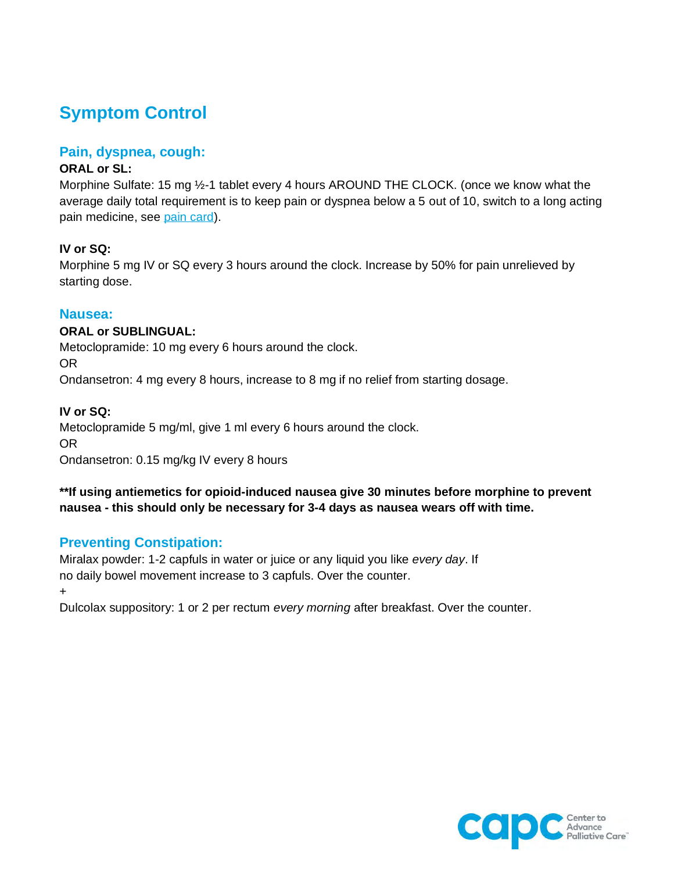# **Symptom Control**

#### **Pain, dyspnea, cough:**

#### **ORAL or SL:**

Morphine Sulfate: 15 mg ½-1 tablet every 4 hours AROUND THE CLOCK. (once we know what the average daily total requirement is to keep pain or dyspnea below a 5 out of 10, switch to a long acting pain medicine, see [pain card\)](https://www.capc.org/documents/324/).

#### **IV or SQ:**

Morphine 5 mg IV or SQ every 3 hours around the clock. Increase by 50% for pain unrelieved by starting dose.

#### **Nausea:**

#### **ORAL or SUBLINGUAL:**

Metoclopramide: 10 mg every 6 hours around the clock.

OR

Ondansetron: 4 mg every 8 hours, increase to 8 mg if no relief from starting dosage.

#### **IV or SQ:**

Metoclopramide 5 mg/ml, give 1 ml every 6 hours around the clock. OR Ondansetron: 0.15 mg/kg IV every 8 hours

**\*\*If using antiemetics for opioid-induced nausea give 30 minutes before morphine to prevent nausea - this should only be necessary for 3-4 days as nausea wears off with time.**

### **Preventing Constipation:**

Miralax powder: 1-2 capfuls in water or juice or any liquid you like *every day*. If no daily bowel movement increase to 3 capfuls. Over the counter.

+

Dulcolax suppository: 1 or 2 per rectum *every morning* after breakfast. Over the counter.